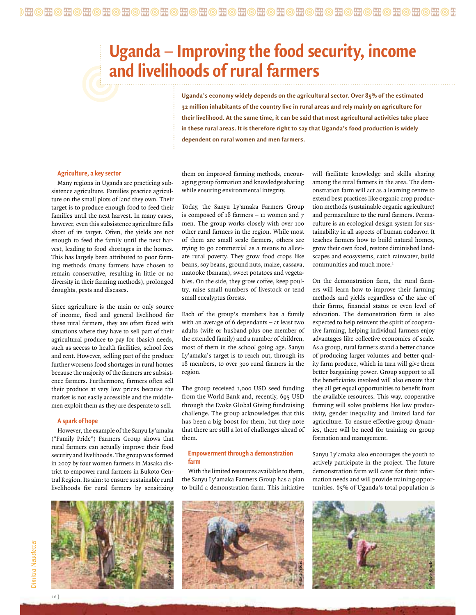## **Uganda** – **Improving the food security, income and livelihoods of rural farmers**

**Uganda's economy widely depends on the agricultural sector. Over 85% of the estimated 32 million inhabitants of the country live in rural areas and rely mainly on agriculture for their livelihood. At the same time, it can be said that most agricultural activities take place in these rural areas. It is therefore right to say that Uganda's food production is widely dependent on rural women and men farmers.**

## **Agriculture, a key sector**

Many regions in Uganda are practicing subsistence agriculture. Families practice agriculture on the small plots of land they own. Their target is to produce enough food to feed their families until the next harvest. In many cases, however, even this subsistence agriculture falls short of its target. Often, the yields are not enough to feed the family until the next harvest, leading to food shortages in the homes. This has largely been attributed to poor farming methods (many farmers have chosen to remain conservative, resulting in little or no diversity in their farming methods), prolonged droughts, pests and diseases.

Since agriculture is the main or only source of income, food and general livelihood for these rural farmers, they are often faced with situations where they have to sell part of their agricultural produce to pay for (basic) needs, such as access to health facilities, school fees and rent. However, selling part of the produce further worsens food shortages in rural homes because the majority of the farmers are subsistence farmers. Furthermore, farmers often sell their produce at very low prices because the market is not easily accessible and the middlemen exploit them as they are desperate to sell.

## **A spark of hope**

However, the example of the Sanyu Ly'amaka ("Family Pride") Farmers Group shows that rural farmers can actually improve their food security and livelihoods. The group was formed in 2007 by four women farmers in Masaka district to empower rural farmers in Bukoto Central Region. Its aim: to ensure sustainable rural livelihoods for rural farmers by sensitizing



them on improved farming methods, encouraging group formation and knowledge sharing while ensuring environmental integrity.

Today, the Sanyu Ly'amaka Farmers Group is composed of 18 farmers – 11 women and 7 men. The group works closely with over 100 other rural farmers in the region. While most of them are small scale farmers, others are trying to go commercial as a means to alleviate rural poverty. They grow food crops like beans, soy beans, ground nuts, maize, cassava, matooke (banana), sweet potatoes and vegetables. On the side, they grow coffee, keep poultry, raise small numbers of livestock or tend small eucalyptus forests.

Each of the group's members has a family with an average of 6 dependants – at least two adults (wife or husband plus one member of the extended family) and a number of children, most of them in the school going age. Sanyu Ly'amaka's target is to reach out, through its 18 members, to over 300 rural farmers in the region.

The group received 1,000 USD seed funding from the World Bank and, recently, 695 USD through the Evoke Global Giving fundraising challenge. The group acknowledges that this has been a big boost for them, but they note that there are still a lot of challenges ahead of them.

## **Empowerment through a demonstration farm**

With the limited resources available to them, the Sanyu Ly'amaka Farmers Group has a plan to build a demonstration farm. This initiative

will facilitate knowledge and skills sharing among the rural farmers in the area. The demonstration farm will act as a learning centre to extend best practices like organic crop production methods (sustainable organic agriculture) and permaculture to the rural farmers. Permaculture is an ecological design system for sustainability in all aspects of human endeavor. It teaches farmers how to build natural homes, grow their own food, restore diminished landscapes and ecosystems, catch rainwater, build communities and much more.<sup>1</sup>

On the demonstration farm, the rural farmers will learn how to improve their farming methods and yields regardless of the size of their farms, financial status or even level of education. The demonstration farm is also expected to help reinvent the spirit of cooperative farming, helping individual farmers enjoy advantages like collective economies of scale. As a group, rural farmers stand a better chance of producing larger volumes and better quality farm produce, which in turn will give them better bargaining power. Group support to all the beneficiaries involved will also ensure that they all get equal opportunities to benefit from the available resources. This way, cooperative farming will solve problems like low productivity, gender inequality and limited land for agriculture. To ensure effective group dynamics, there will be need for training on group formation and management.

Sanyu Ly'amaka also encourages the youth to actively participate in the project. The future demonstration farm will cater for their information needs and will provide training opportunities. 65% of Uganda's total population is